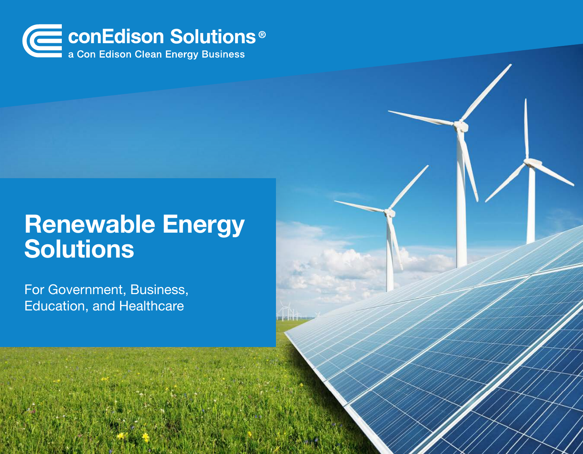

# Renewable Energy Solutions

For Government, Business, Education, and Healthcare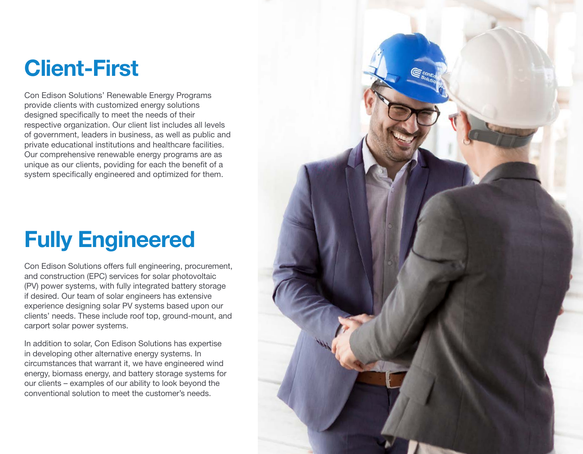### Client-First

Con Edison Solutions' Renewable Energy Programs provide clients with customized energy solutions designed specifically to meet the needs of their respective organization. Our client list includes all levels of government, leaders in business, as well as public and private educational institutions and healthcare facilities. Our comprehensive renewable energy programs are as unique as our clients, poviding for each the benefit of a system specifically engineered and optimized for them.

# Fully Engineered

Con Edison Solutions offers full engineering, procurement, and construction (EPC) services for solar photovoltaic (PV) power systems, with fully integrated battery storage if desired. Our team of solar engineers has extensive experience designing solar PV systems based upon our clients' needs. These include roof top, ground-mount, and carport solar power systems.

In addition to solar, Con Edison Solutions has expertise in developing other alternative energy systems. In circumstances that warrant it, we have engineered wind energy, biomass energy, and battery storage systems for our clients – examples of our ability to look beyond the conventional solution to meet the customer's needs.

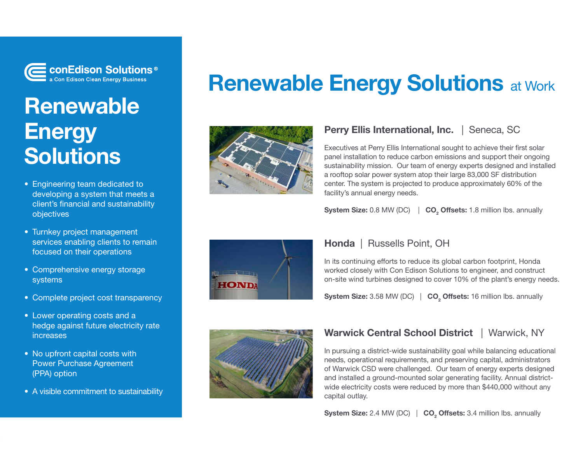

### Renewable **Energy Solutions**

- Engineering team dedicated to developing a system that meets a client's financial and sustainability objectives
- Turnkey project management services enabling clients to remain focused on their operations
- Comprehensive energy storage systems
- Complete project cost transparency
- Lower operating costs and a hedge against future electricity rate increases
- No upfront capital costs with Power Purchase Agreement (PPA) option
- A visible commitment to sustainability





### Perry Ellis International, Inc. | Seneca, SC

Executives at Perry Ellis International sought to achieve their first solar panel installation to reduce carbon emissions and support their ongoing sustainability mission. Our team of energy experts designed and installed a rooftop solar power system atop their large 83,000 SF distribution center. The system is projected to produce approximately 60% of the facility's annual energy needs.

System Size:  $0.8$  MW (DC)  $\vert$ CO<sub>2</sub> Offsets: 1.8 million lbs. annually



#### Honda | Russells Point, OH

In its continuing efforts to reduce its global carbon footprint, Honda worked closely with Con Edison Solutions to engineer, and construct on-site wind turbines designed to cover 10% of the plant's energy needs.

**System Size:** 3.58 MW (DC)  $\parallel$  CO<sub>2</sub> Offsets: 16 million lbs. annually



### Warwick Central School District | Warwick, NY

In pursuing a district-wide sustainability goal while balancing educational needs, operational requirements, and preserving capital, administrators of Warwick CSD were challenged. Our team of energy experts designed and installed a ground-mounted solar generating facility. Annual districtwide electricity costs were reduced by more than \$440,000 without any capital outlay.

**System Size:** 2.4 MW (DC)  $\parallel$   $CO<sub>2</sub>$  Offsets: 3.4 million lbs. annually